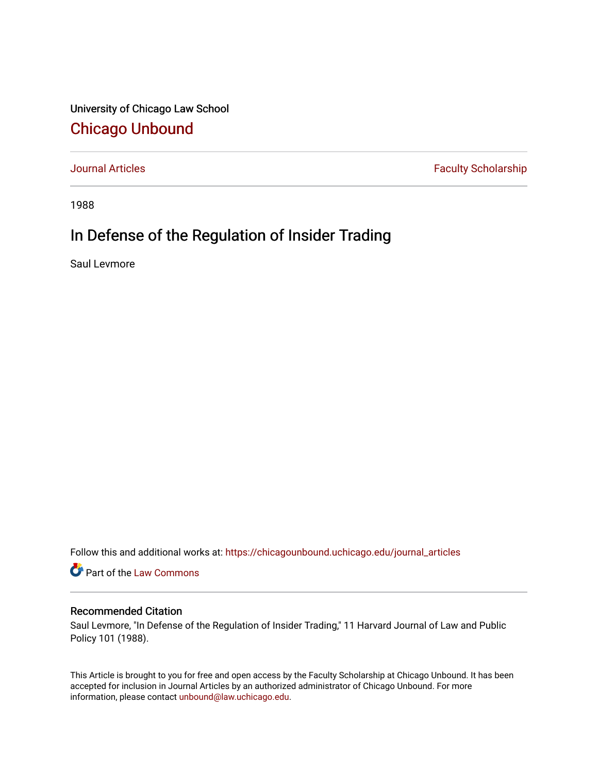University of Chicago Law School [Chicago Unbound](https://chicagounbound.uchicago.edu/)

[Journal Articles](https://chicagounbound.uchicago.edu/journal_articles) **Faculty Scholarship Faculty Scholarship** 

1988

# In Defense of the Regulation of Insider Trading

Saul Levmore

Follow this and additional works at: [https://chicagounbound.uchicago.edu/journal\\_articles](https://chicagounbound.uchicago.edu/journal_articles?utm_source=chicagounbound.uchicago.edu%2Fjournal_articles%2F1608&utm_medium=PDF&utm_campaign=PDFCoverPages) 

Part of the [Law Commons](http://network.bepress.com/hgg/discipline/578?utm_source=chicagounbound.uchicago.edu%2Fjournal_articles%2F1608&utm_medium=PDF&utm_campaign=PDFCoverPages)

# Recommended Citation

Saul Levmore, "In Defense of the Regulation of Insider Trading," 11 Harvard Journal of Law and Public Policy 101 (1988).

This Article is brought to you for free and open access by the Faculty Scholarship at Chicago Unbound. It has been accepted for inclusion in Journal Articles by an authorized administrator of Chicago Unbound. For more information, please contact [unbound@law.uchicago.edu](mailto:unbound@law.uchicago.edu).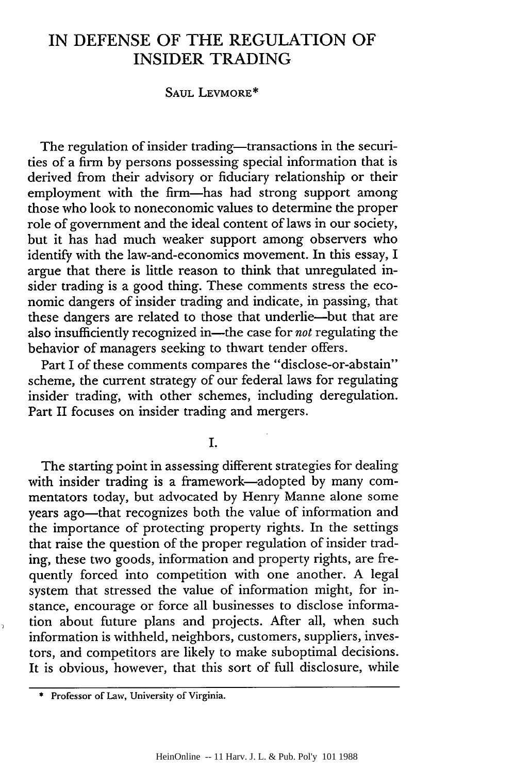# IN **DEFENSE** OF THE REGULATION OF INSIDER TRADING

#### SAUL LEVMORE\*

The regulation of insider trading-transactions in the securities of a firm by persons possessing special information that is derived from their advisory or fiduciary relationship or their employment with the firm-has had strong support among those who look to noneconomic values to determine the proper role of government and the ideal content of laws in our society, but it has had much weaker support among observers who identify with the law-and-economics movement. In this essay, I argue that there is little reason to think that unregulated insider trading is a good thing. These comments stress the economic dangers of insider trading and indicate, in passing, that these dangers are related to those that underlie-but that are also insufficiently recognized in—the case for *not* regulating the behavior of managers seeking to thwart tender offers.

Part I of these comments compares the "disclose-or-abstain" scheme, the current strategy of our federal laws for regulating insider trading, with other schemes, including deregulation. Part II focuses on insider trading and mergers.

I.

The starting point in assessing different strategies for dealing with insider trading is a framework-adopted by many commentators today, but advocated by Henry Manne alone some years ago—that recognizes both the value of information and the importance of protecting property rights. In the settings that raise the question of the proper regulation of insider trading, these two goods, information and property rights, are frequently forced into competition with one another. A legal system that stressed the value of information might, for instance, encourage or force all businesses to disclose information about future plans and projects. After all, when such information is withheld, neighbors, customers, suppliers, investors, and competitors are likely to make suboptimal decisions. It is obvious, however, that this sort of full disclosure, while

**<sup>\*</sup>** Professor of Law, University of Virginia.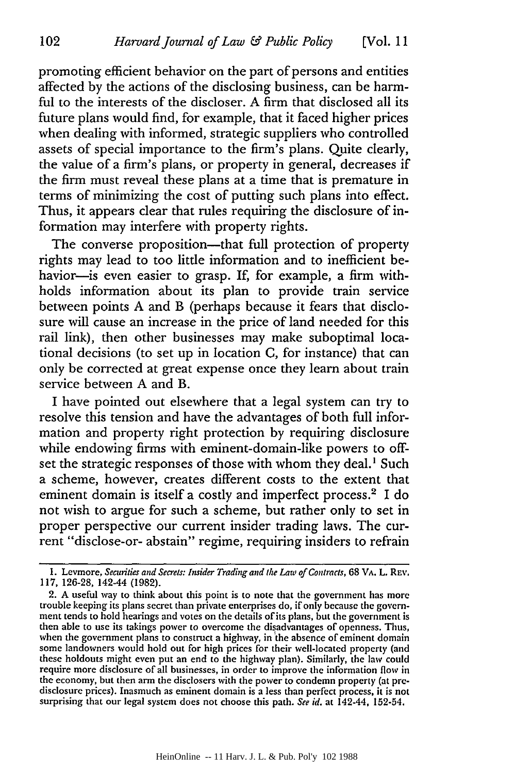promoting efficient behavior on the part of persons and entities affected by the actions of the disclosing business, can be harmful to the interests of the discloser. A firm that disclosed all its future plans would find, for example, that it faced higher prices when dealing with informed, strategic suppliers who controlled assets of special importance to the firm's plans. Quite clearly, the value of a firm's plans, or property in general, decreases if the firm must reveal these plans at a time that is premature in terms of minimizing the cost of putting such plans into effect. Thus, it appears clear that rules requiring the disclosure of information may interfere with property rights.

The converse proposition—that full protection of property rights may lead to too little information and to inefficient behavior-is even easier to grasp. If, for example, a firm withholds information about its plan to provide train service between points A and B (perhaps because it fears that disclosure will cause an increase in the price of land needed for this rail link), then other businesses may make suboptimal locational decisions (to set up in location C, for instance) that can only be corrected at great expense once they learn about train service between A and B.

I have pointed out elsewhere that a legal system can try to resolve this tension and have the advantages of both full information and property right protection by requiring disclosure while endowing firms with eminent-domain-like powers to offset the strategic responses of those with whom they deal.' Such a scheme, however, creates different costs to the extent that eminent domain is itself a costly and imperfect process.<sup>2</sup> I do not wish to argue for such a scheme, but rather only to set in proper perspective our current insider trading laws. The current "disclose-or- abstain" regime, requiring insiders to refrain

102

**<sup>1.</sup>** Levmore, *Securities and Secrets: Insider Trading and the* **Law** *of Contracts,* 68 VA. L. REv. 117, 126-28, 142-44 (1982).

<sup>2.</sup> A useful way to think about this point is to note that the government has more trouble keeping its plans secret than private enterprises do, if only because the government tends to hold hearings and votes on the details of its plans, but the government is then able to use its takings power to overcome the disadvantages of openness. Thus, when the government plans to construct a highway, in'the absence of eminent domain some landowners would hold out for high prices for their well-located property (and these holdouts might even put an end to the highway plan). Similarly, the law could require more disclosure of all businesses, in order to improve the information flow in the economy, but then arm the disclosers with the power to condemn property (at predisclosure prices). Inasmuch as eminent domain is a less than perfect process, it is not surprising that our legal system does not choose this path. *See id.* at 142-44, 152-54.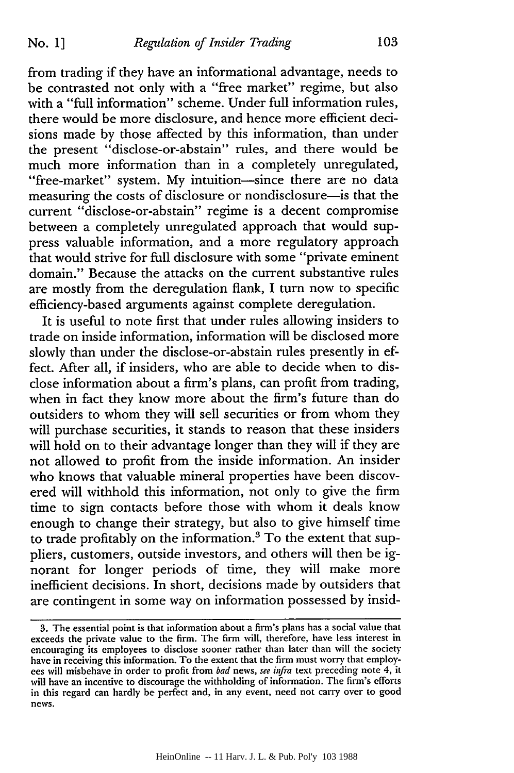from trading if they have an informational advantage, needs to be contrasted not only with a "free market" regime, but also with a "full information" scheme. Under full information rules, there would be more disclosure, and hence more efficient decisions made by those affected by this information, than under the present "disclose-or-abstain" rules, and there would be much more information than in a completely unregulated, "free-market" system. My intuition-since there are no data measuring the costs of disclosure or nondisclosure-is that the current "disclose-or-abstain" regime is a decent compromise between a completely unregulated approach that would suppress valuable information, and a more regulatory approach that would strive for full disclosure with some "private eminent domain." Because the attacks on the current substantive rules are mostly from the deregulation flank, I turn now to specific efficiency-based arguments against complete deregulation.

It is useful to note first that under rules allowing insiders to trade on inside information, information will be disclosed more slowly than under the disclose-or-abstain rules presently in effect. After all, if insiders, who are able to decide when to disclose information about a firm's plans, can profit from trading, when in fact they know more about the firm's future than do outsiders to whom they will sell securities or from whom they will purchase securities, it stands to reason that these insiders will hold on to their advantage longer than they will if they are not allowed to profit from the inside information. An insider who knows that valuable mineral properties have been discovered will withhold this information, not only to give the firm time to sign contacts before those with whom it deals know enough to change their strategy, but also to give himself time to trade profitably on the information.<sup>3</sup> To the extent that suppliers, customers, outside investors, and others will then be ignorant for longer periods of time, they will make more inefficient decisions. In short, decisions made by outsiders that are contingent in some way on information possessed by insid-

<sup>3.</sup> The essential point is that information about a firm's plans has a social value that exceeds the private value to the firm. The firm will, therefore, have less interest in encouraging its employees to disclose sooner rather than later than will the society have in receiving this information. To the extent that the firm must worry that employees will misbehave in order to profit from bad news, see infra text preceding note 4, it will have an incentive to discourage the withholding of information. The firm's efforts in this regard can hardly be perfect and, in any event, need not carry over to good news.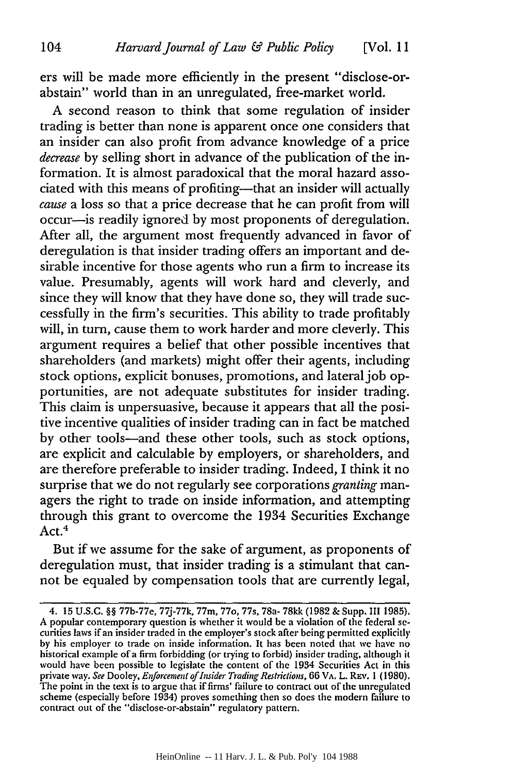ers will be made more efficiently in the present "disclose-orabstain" world than in an unregulated, free-market world.

A second reason to think that some regulation of insider trading is better than none is apparent once one considers that an insider can also profit from advance knowledge of a price *decrease* by selling short in advance of the publication of the information. It is almost paradoxical that the moral hazard associated with this means of profiting—that an insider will actually *cause* a loss so that a price decrease that he can profit from will occur-is readily ignored by most proponents of deregulation. After all, the argument most frequently advanced in favor of deregulation is that insider trading offers an important and desirable incentive for those agents who run a firm to increase its value. Presumably, agents will work hard and cleverly, and since they will know that they have done so, they will trade successfully in the firm's securities. This ability to trade profitably will, in turn, cause them to work harder and more cleverly. This argument requires a belief that other possible incentives that shareholders (and markets) might offer their agents, including stock options, explicit bonuses, promotions, and lateral job opportunities, are not adequate substitutes for insider trading. This claim is unpersuasive, because it appears that all the positive incentive qualities of insider trading can in fact be matched by other tools-and these other tools, such as stock options, are explicit and calculable by employers, or shareholders, and are therefore preferable to insider trading. Indeed, I think it no surprise that we do not regularly see corporations *granting* managers the right to trade on inside information, and attempting through this grant to overcome the 1934 Securities Exchange Act. 4

But if we assume for the sake of argument, as proponents of deregulation must, that insider trading is a stimulant that cannot be equaled by compensation tools that are currently legal,

<sup>4. 15</sup> U.S.C. §§ 77b-77e, 77j-77k, 77m, 77o, 77s, 78a- 78kk (1982 & Supp. III 1985). A popular contemporary question is whether it would be a violation of the federal securities laws if an insider traded in the employer's stock after being permitted explicitly by his employer to trade on inside information. It has been noted that we have no historical example of a firm forbidding (or trying to forbid) insider trading, although it would have been possible to legislate the content of the 1934 Securities Act in this private way. *See* Dooley, *Enforcement of Insider Trading* Restrictions, 66 VA. L. REv. 1 **(1980).** The point in the text is to argue that if firms' failure to contract out of the unregulated scheme (especially before 1934) proves something then so does the modern failure to contract out of the "disclose-or-abstain" regulatory pattern.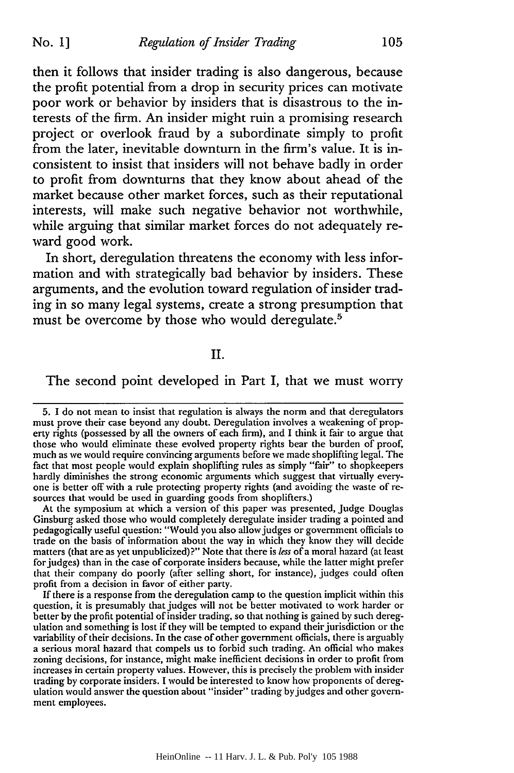then it follows that insider trading is also dangerous, because the profit potential from a drop in security prices can motivate poor work or behavior by insiders that is disastrous to the interests of the firm. An insider might ruin a promising research project or overlook fraud by a subordinate simply to profit from the later, inevitable downturn in the firm's value. It is inconsistent to insist that insiders will not behave badly in order to profit from downturns that they know about ahead of the market because other market forces, such as their reputational interests, will make such negative behavior not worthwhile, while arguing that similar market forces do not adequately reward good work.

In short, deregulation threatens the economy with less information and with strategically bad behavior by insiders. These arguments, and the evolution toward regulation of insider trading in so many legal systems, create a strong presumption that must be overcome by those who would deregulate.<sup>5</sup>

# II.

#### The second point developed in Part I, that we must worry

At the symposium at which a version of this paper was presented, Judge Douglas Ginsburg asked those who would completely deregulate insider trading a pointed and pedagogically useful question: "Would you also allow judges or government officials to trade on the basis of information about the way in which they know they will decide matters (that are as yet unpublicized)?" Note that there is *less* of a moral hazard (at least for judges) than in the case of corporate insiders because, while the latter might prefer that their company do poorly (after selling short, for instance), judges could often profit from a decision in favor of either party.

If there is a response from the deregulation camp to the question implicit within this question, it is presumably that judges will not be better motivated to work harder or better by the profit potential of insider trading, so that nothing is gained by such deregulation and something is lost if they will be tempted to expand their jurisdiction or the variability of their decisions. In the case of other government officials, there is arguably a serious moral hazard that compels us to forbid such trading. An official who makes zoning decisions, for instance, might make inefficient decisions in order to profit from increases in certain property values. However, this is precisely the problem with insider trading by corporate insiders. I would be interested to know how proponents of deregulation would answer the question about "insider" trading by judges and other government employees.

<sup>5.</sup> I do not mean to insist that regulation is always the norm and that deregulators must prove their case beyond any doubt. Deregulation involves a weakening of property rights (possessed by all the owners of each firm), and I think it fair to argue that those who would eliminate these evolved property rights bear the burden of proof, much as we would require convincing arguments before we made shoplifting legal. The fact that most people would explain shoplifting rules as simply "fair" to shopkeepers hardly diminishes the strong economic arguments which suggest that virtually everyone is better off with a rule protecting property rights (and avoiding the waste of resources that would be used in guarding goods from shoplifters.)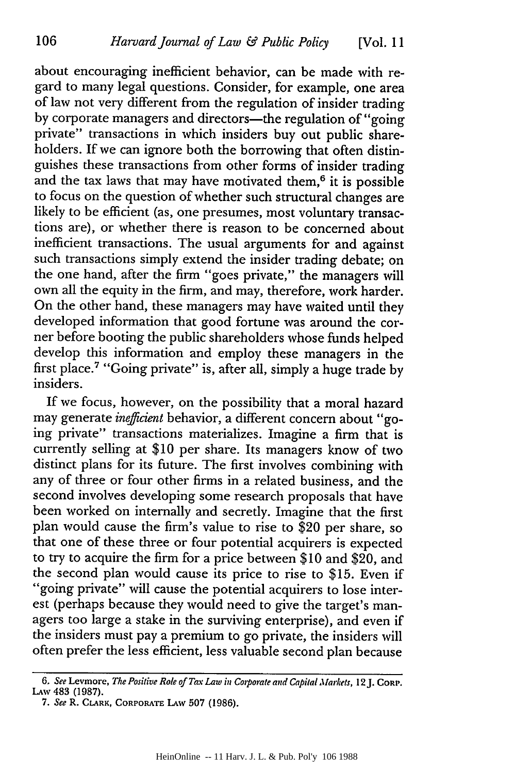about encouraging inefficient behavior, can be made with regard to many legal questions. Consider, for example, one area of law not very different from the regulation of insider trading by corporate managers and directors-the regulation of "going private" transactions in which insiders buy out public shareholders. If we can ignore both the borrowing that often distinguishes these transactions from other forms of insider trading and the tax laws that may have motivated them, $6$  it is possible to focus on the question of whether such structural changes are likely to be efficient (as, one presumes, most voluntary transactions are), or whether there is reason to be concerned about inefficient transactions. The usual arguments for and against such transactions simply extend the insider trading debate; on the one hand, after the firm "goes private," the managers will own all the equity in the firm, and may, therefore, work harder. On the other hand, these managers may have waited until they developed information that good fortune was around the corner before booting the public shareholders whose funds helped develop this information and employ these managers in the first place.7 "Going private" is, after all, simply a huge trade by insiders.

If we focus, however, on the possibility that a moral hazard may generate *inefficient* behavior, a different concern about "going private" transactions materializes. Imagine a firm that is currently selling at \$10 per share. Its managers know of two distinct plans for its future. The first involves combining with any of three or four other firms in a related business, and the second involves developing some research proposals that have been worked on internally and secretly. Imagine that the first plan would cause the firm's value to rise to \$20 per share, so that one of these three or four potential acquirers is expected to try to acquire the firm for a price between \$10 and \$20, and the second plan would cause its price to rise to \$15. Even if "going private" will cause the potential acquirers to lose interest (perhaps because they would need to give the target's managers too large a stake in the surviving enterprise), and even if the insiders must pay a premium to go private, the insiders will often prefer the less efficient, less valuable second plan because

<sup>6.</sup> *See* **Levmore,** *The Positive Role of Tax Law in CGoporate and Capital Markets,* **12J. CoRp.** LAw 483 (1987).

*<sup>7.</sup> See* R. C.ARK, CORPORATE LAW **507** (1986).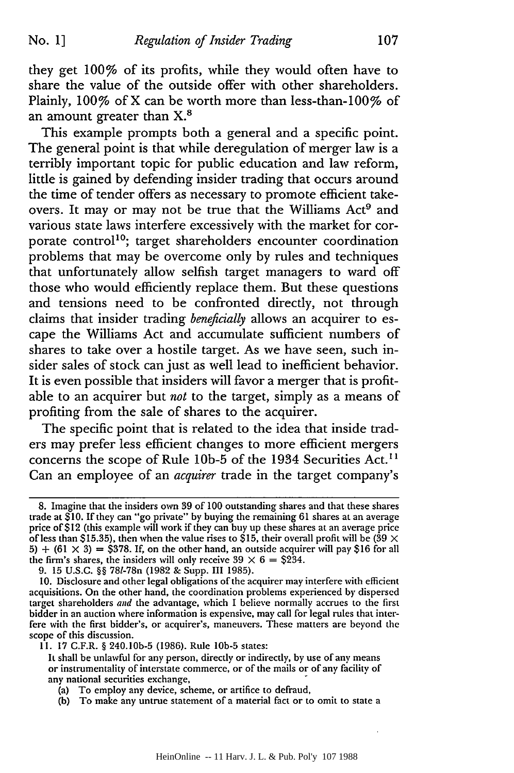No. **1]**

they get 100% of its profits, while they would often have to share the value of the outside offer with other shareholders. Plainly, 100% of X can be worth more than less-than-100% of an amount greater than X.<sup>8</sup>

This example prompts both a general and a specific point. The general point is that while deregulation of merger law is a terribly important topic for public education and law reform, little is gained by defending insider trading that occurs around the time of tender offers as necessary to promote efficient takeovers. It may or may not be true that the Williams Act<sup>9</sup> and various state laws interfere excessively with the market for corporate control<sup>10</sup>; target shareholders encounter coordination problems that may be overcome only by rules and techniques that unfortunately allow selfish target managers to ward off those who would efficiently replace them. But these questions and tensions need to be confronted directly, not through claims that insider trading *beneficially* allows an acquirer to escape the Williams Act and accumulate sufficient numbers of shares to take over a hostile target. As we have seen, such insider sales of stock can just as well lead to inefficient behavior. It is even possible that insiders will favor a merger that is profitable to an acquirer but *not* to the target, simply as a means of profiting from the sale of shares to the acquirer.

The specific point that is related to the idea that inside traders may prefer less efficient changes to more efficient mergers concerns the scope of Rule 10b-5 of the 1934 Securities Act.<sup>11</sup> Can an employee of an *acquirer* trade in the target company's

<sup>8.</sup> Imagine that the insiders own **39** of **100** outstanding shares and that these shares trade at \$10. If they can "go private" by buying the remaining 61 shares at an average price **of** \$12 (this example will work if they can buy up these shares at an average price of less than \$15.35), then when the value rises to \$15, their overall profit will be ( $39 \times$ 5)  $+$  (61  $\times$  3) = \$378. If, on the other hand, an outside acquirer will pay \$16 for all the firm's shares, the insiders will only receive  $39 \times 6 = $234$ .

<sup>9. 15</sup> U.S.C. §§ 781-78n (1982 & Supp. III 1985).

**<sup>10.</sup>** Disclosure and other legal obligations of the acquirer may interfere with efficient acquisitions. On the other hand, the coordination problems experienced by dispersed target shareholders and the advantage, which I believe normally accrues to the first bidder in an auction where information is expensive, may call for legal rules that interfere with the first bidder's, or acquirer's, maneuvers. These matters are beyond the scope of this discussion.

<sup>11. 17</sup> G.F.R. § 240.10b-5 (1986). Rule **lob-5** states:

It shall be unlawful for any person, directly or indirectly, by use of any means or instrumentality of interstate commerce, or of the mails or of any facility of any national securities exchange,

<sup>(</sup>a) To employ any device, scheme, or artifice to defraud,

<sup>(</sup>b) To make any untrue statement of a material fact or to omit to state a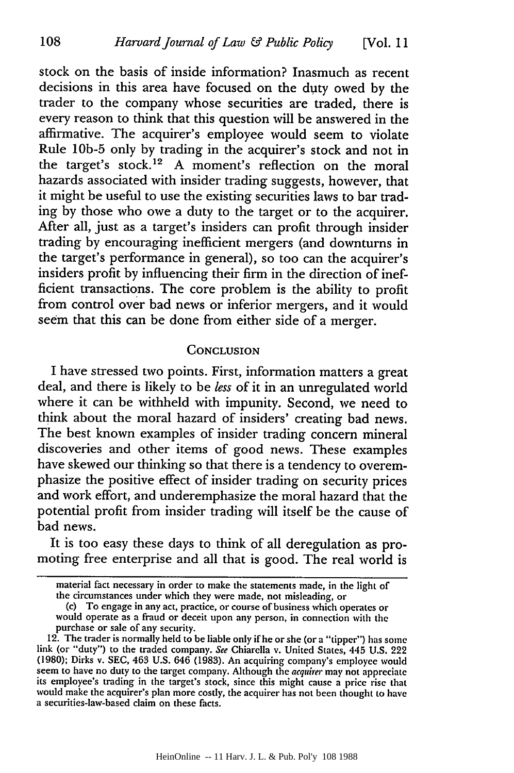stock on the basis of inside information? Inasmuch as recent decisions in this area have focused on the duty owed by the trader to the company whose securities are traded, there is every reason to think that this question will be answered in the affirmative. The acquirer's employee would seem to violate Rule **lOb-5** only by trading in the acquirer's stock and not in the target's stock.<sup>12</sup> A moment's reflection on the moral hazards associated with insider trading suggests, however, that it might be useful to use the existing securities laws to bar trading by those who owe a duty to the target or to the acquirer. After all, just as a target's insiders can profit through insider trading by encouraging inefficient mergers (and downturns in the target's performance in general), so too can the acquirer's insiders profit by influencing their firm in the direction of inefficient transactions. The core problem is the ability to profit from control over bad news or inferior mergers, and it would seem that this can be done from either side of a merger.

## **CONCLUSION**

I have stressed two points. First, information matters a great deal, and there is likely to be *less* of it in an unregulated world where it can be withheld with impunity. Second, we need to think about the moral hazard of insiders' creating bad news. The best known examples of insider trading concern mineral discoveries and other items of good news. These examples have skewed our thinking so that there is a tendency to overemphasize the positive effect of insider trading on security prices and work effort, and underemphasize the moral hazard that the potential profit from insider trading will itself be the cause of bad news.

It is too easy these days to think of all deregulation as promoting free enterprise and all that is good. The real world is

material fact necessary in order to make the statements made, in the light of the circumstances under which they were made, not misleading, or

<sup>(</sup>c) To engage in any act, practice, or course of business which operates or would operate as a fraud or deceit upon any person, in connection with the purchase or sale of any security.

<sup>12.</sup> The trader is normally held to be liable only if he or she (or a "tipper") has some link (or "duty") to the traded company. See Chiarella v. United States, 445 U.S. 222 (1980); Dirks v. SEC, 463 U.S. 646 (1983). An acquiring company's employee would seem to have no duty to the target company. Although the its employee's trading in the target's stock, since this might cause a price rise that would make the acquirer's plan more costly, the acquirer has not been thought to have a securities-law-based claim on these facts.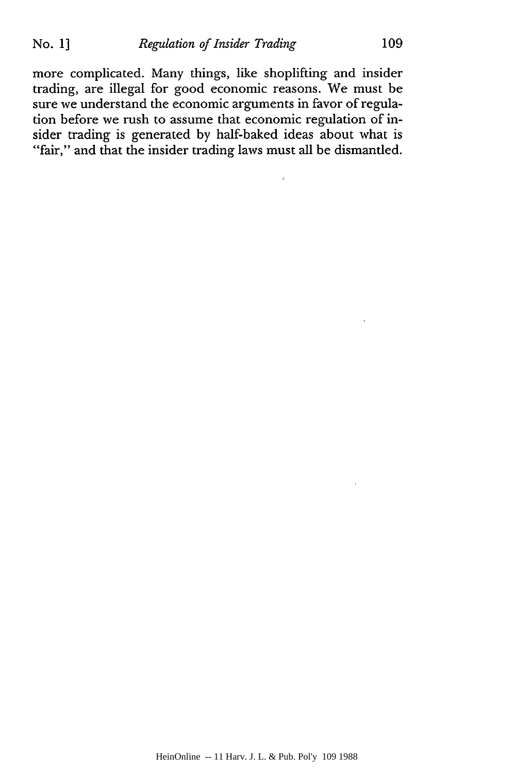more complicated. Many things, like shoplifting and insider trading, are illegal for good economic reasons. We must be sure we understand the economic arguments in favor of regulation before we rush to assume that economic regulation of insider trading is generated by half-baked ideas about what is "fair," and that the insider trading laws must all be dismantled.